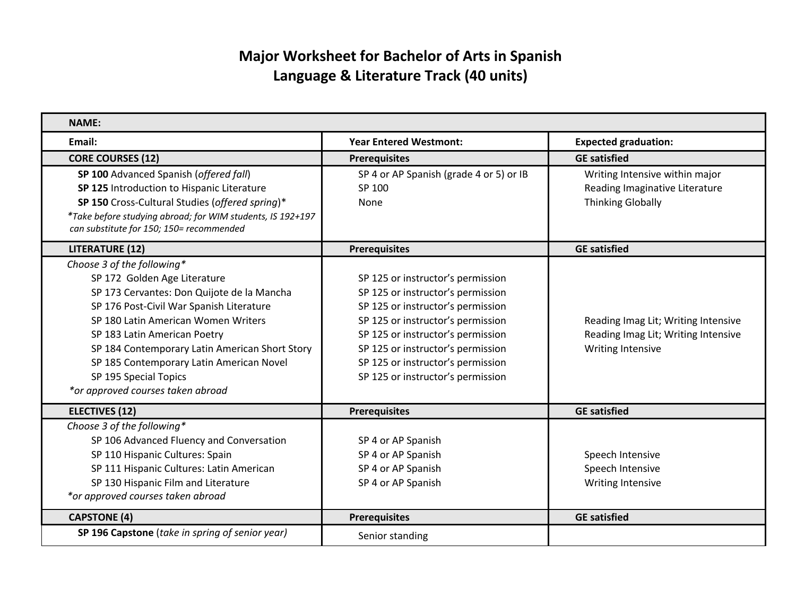## **Major Worksheet for Bachelor of Arts in Spanish Language & Literature Track (40 units)**

| <b>NAME:</b>                                               |                                         |                                     |
|------------------------------------------------------------|-----------------------------------------|-------------------------------------|
| Email:                                                     | <b>Year Entered Westmont:</b>           | <b>Expected graduation:</b>         |
| <b>CORE COURSES (12)</b>                                   | <b>Prerequisites</b>                    | <b>GE satisfied</b>                 |
| SP 100 Advanced Spanish (offered fall)                     | SP 4 or AP Spanish (grade 4 or 5) or IB | Writing Intensive within major      |
| SP 125 Introduction to Hispanic Literature                 | SP 100                                  | Reading Imaginative Literature      |
| SP 150 Cross-Cultural Studies (offered spring)*            | None                                    | <b>Thinking Globally</b>            |
| *Take before studying abroad; for WIM students, IS 192+197 |                                         |                                     |
| can substitute for 150; 150= recommended                   |                                         |                                     |
| <b>LITERATURE (12)</b>                                     | <b>Prerequisites</b>                    | <b>GE satisfied</b>                 |
| Choose 3 of the following*                                 |                                         |                                     |
| SP 172 Golden Age Literature                               | SP 125 or instructor's permission       |                                     |
| SP 173 Cervantes: Don Quijote de la Mancha                 | SP 125 or instructor's permission       |                                     |
| SP 176 Post-Civil War Spanish Literature                   | SP 125 or instructor's permission       |                                     |
| SP 180 Latin American Women Writers                        | SP 125 or instructor's permission       | Reading Imag Lit; Writing Intensive |
| SP 183 Latin American Poetry                               | SP 125 or instructor's permission       | Reading Imag Lit; Writing Intensive |
| SP 184 Contemporary Latin American Short Story             | SP 125 or instructor's permission       | <b>Writing Intensive</b>            |
| SP 185 Contemporary Latin American Novel                   | SP 125 or instructor's permission       |                                     |
| SP 195 Special Topics                                      | SP 125 or instructor's permission       |                                     |
| *or approved courses taken abroad                          |                                         |                                     |
| <b>ELECTIVES (12)</b>                                      | <b>Prerequisites</b>                    | <b>GE satisfied</b>                 |
| Choose 3 of the following*                                 |                                         |                                     |
| SP 106 Advanced Fluency and Conversation                   | SP 4 or AP Spanish                      |                                     |
| SP 110 Hispanic Cultures: Spain                            | SP 4 or AP Spanish                      | Speech Intensive                    |
| SP 111 Hispanic Cultures: Latin American                   | SP 4 or AP Spanish                      | Speech Intensive                    |
| SP 130 Hispanic Film and Literature                        | SP 4 or AP Spanish                      | Writing Intensive                   |
| *or approved courses taken abroad                          |                                         |                                     |
| <b>CAPSTONE (4)</b>                                        | <b>Prerequisites</b>                    | <b>GE satisfied</b>                 |
| SP 196 Capstone (take in spring of senior year)            | Senior standing                         |                                     |